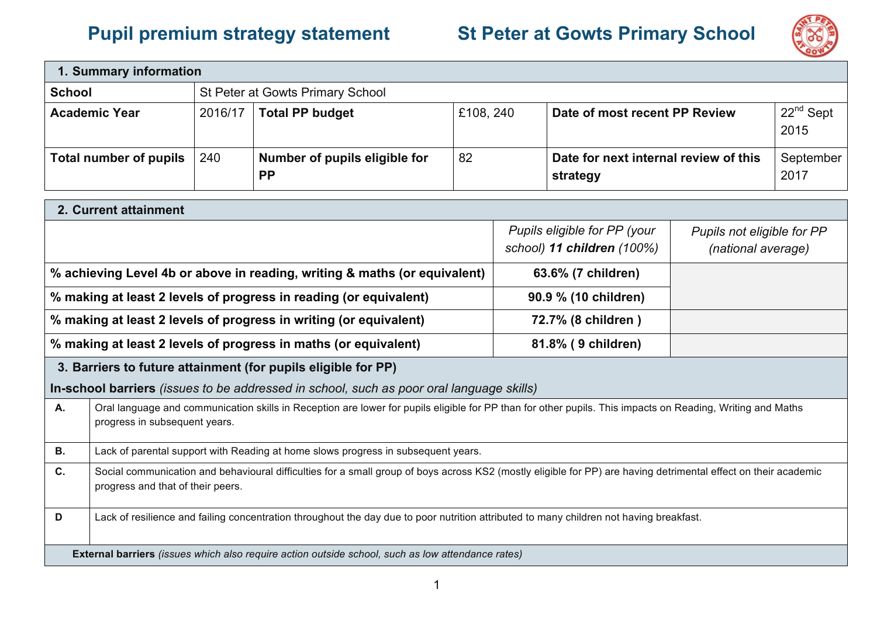## **Pupil premium strategy statement St Peter at Gowts Primary School**



| 1. Summary information                                                                                                                                                                                     |         |                                                                                                                                                            |    |                                                            |                                                   |                                                  |                     |
|------------------------------------------------------------------------------------------------------------------------------------------------------------------------------------------------------------|---------|------------------------------------------------------------------------------------------------------------------------------------------------------------|----|------------------------------------------------------------|---------------------------------------------------|--------------------------------------------------|---------------------|
| <b>School</b>                                                                                                                                                                                              |         | St Peter at Gowts Primary School                                                                                                                           |    |                                                            |                                                   |                                                  |                     |
| <b>Academic Year</b>                                                                                                                                                                                       | 2016/17 | <b>Total PP budget</b>                                                                                                                                     |    | £108, 240<br>Date of most recent PP Review                 |                                                   |                                                  | $22nd$ Sept<br>2015 |
| <b>Total number of pupils</b>                                                                                                                                                                              | 240     | Number of pupils eligible for<br><b>PP</b>                                                                                                                 | 82 |                                                            | Date for next internal review of this<br>strategy |                                                  | September<br>2017   |
| 2. Current attainment                                                                                                                                                                                      |         |                                                                                                                                                            |    |                                                            |                                                   |                                                  |                     |
|                                                                                                                                                                                                            |         |                                                                                                                                                            |    | Pupils eligible for PP (your<br>school) 11 children (100%) |                                                   | Pupils not eligible for PP<br>(national average) |                     |
|                                                                                                                                                                                                            |         | % achieving Level 4b or above in reading, writing & maths (or equivalent)                                                                                  |    |                                                            | 63.6% (7 children)                                |                                                  |                     |
|                                                                                                                                                                                                            |         | % making at least 2 levels of progress in reading (or equivalent)                                                                                          |    |                                                            | 90.9 % (10 children)                              |                                                  |                     |
| % making at least 2 levels of progress in writing (or equivalent)                                                                                                                                          |         |                                                                                                                                                            |    | 72.7% (8 children)                                         |                                                   |                                                  |                     |
|                                                                                                                                                                                                            |         | % making at least 2 levels of progress in maths (or equivalent)                                                                                            |    | 81.8% (9 children)                                         |                                                   |                                                  |                     |
|                                                                                                                                                                                                            |         | 3. Barriers to future attainment (for pupils eligible for PP)                                                                                              |    |                                                            |                                                   |                                                  |                     |
|                                                                                                                                                                                                            |         | In-school barriers (issues to be addressed in school, such as poor oral language skills)                                                                   |    |                                                            |                                                   |                                                  |                     |
| A.<br>progress in subsequent years.                                                                                                                                                                        |         | Oral language and communication skills in Reception are lower for pupils eligible for PP than for other pupils. This impacts on Reading, Writing and Maths |    |                                                            |                                                   |                                                  |                     |
| <b>B.</b>                                                                                                                                                                                                  |         | Lack of parental support with Reading at home slows progress in subsequent years.                                                                          |    |                                                            |                                                   |                                                  |                     |
| C.<br>Social communication and behavioural difficulties for a small group of boys across KS2 (mostly eligible for PP) are having detrimental effect on their academic<br>progress and that of their peers. |         |                                                                                                                                                            |    |                                                            |                                                   |                                                  |                     |
| D<br>Lack of resilience and failing concentration throughout the day due to poor nutrition attributed to many children not having breakfast.                                                               |         |                                                                                                                                                            |    |                                                            |                                                   |                                                  |                     |
|                                                                                                                                                                                                            |         | External barriers (issues which also require action outside school, such as low attendance rates)                                                          |    |                                                            |                                                   |                                                  |                     |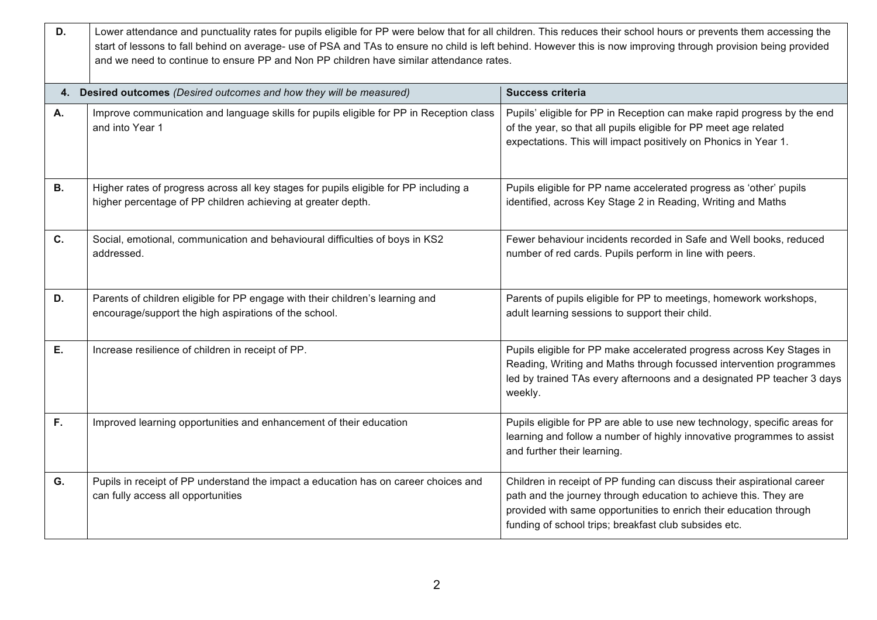| D.        | Lower attendance and punctuality rates for pupils eligible for PP were below that for all children. This reduces their school hours or prevents them accessing the<br>start of lessons to fall behind on average- use of PSA and TAs to ensure no child is left behind. However this is now improving through provision being provided<br>and we need to continue to ensure PP and Non PP children have similar attendance rates. |                                                                                                                                                                                                                                                                            |  |  |  |  |
|-----------|-----------------------------------------------------------------------------------------------------------------------------------------------------------------------------------------------------------------------------------------------------------------------------------------------------------------------------------------------------------------------------------------------------------------------------------|----------------------------------------------------------------------------------------------------------------------------------------------------------------------------------------------------------------------------------------------------------------------------|--|--|--|--|
|           | 4. Desired outcomes (Desired outcomes and how they will be measured)                                                                                                                                                                                                                                                                                                                                                              | <b>Success criteria</b>                                                                                                                                                                                                                                                    |  |  |  |  |
| <b>A.</b> | Improve communication and language skills for pupils eligible for PP in Reception class<br>and into Year 1                                                                                                                                                                                                                                                                                                                        | Pupils' eligible for PP in Reception can make rapid progress by the end<br>of the year, so that all pupils eligible for PP meet age related<br>expectations. This will impact positively on Phonics in Year 1.                                                             |  |  |  |  |
| <b>B.</b> | Higher rates of progress across all key stages for pupils eligible for PP including a<br>higher percentage of PP children achieving at greater depth.                                                                                                                                                                                                                                                                             | Pupils eligible for PP name accelerated progress as 'other' pupils<br>identified, across Key Stage 2 in Reading, Writing and Maths                                                                                                                                         |  |  |  |  |
| C.        | Social, emotional, communication and behavioural difficulties of boys in KS2<br>addressed.                                                                                                                                                                                                                                                                                                                                        | Fewer behaviour incidents recorded in Safe and Well books, reduced<br>number of red cards. Pupils perform in line with peers.                                                                                                                                              |  |  |  |  |
| D.        | Parents of children eligible for PP engage with their children's learning and<br>encourage/support the high aspirations of the school.                                                                                                                                                                                                                                                                                            | Parents of pupils eligible for PP to meetings, homework workshops,<br>adult learning sessions to support their child.                                                                                                                                                      |  |  |  |  |
| Е.        | Increase resilience of children in receipt of PP.                                                                                                                                                                                                                                                                                                                                                                                 | Pupils eligible for PP make accelerated progress across Key Stages in<br>Reading, Writing and Maths through focussed intervention programmes<br>led by trained TAs every afternoons and a designated PP teacher 3 days<br>weekly.                                          |  |  |  |  |
| F.        | Improved learning opportunities and enhancement of their education                                                                                                                                                                                                                                                                                                                                                                | Pupils eligible for PP are able to use new technology, specific areas for<br>learning and follow a number of highly innovative programmes to assist<br>and further their learning.                                                                                         |  |  |  |  |
| G.        | Pupils in receipt of PP understand the impact a education has on career choices and<br>can fully access all opportunities                                                                                                                                                                                                                                                                                                         | Children in receipt of PP funding can discuss their aspirational career<br>path and the journey through education to achieve this. They are<br>provided with same opportunities to enrich their education through<br>funding of school trips; breakfast club subsides etc. |  |  |  |  |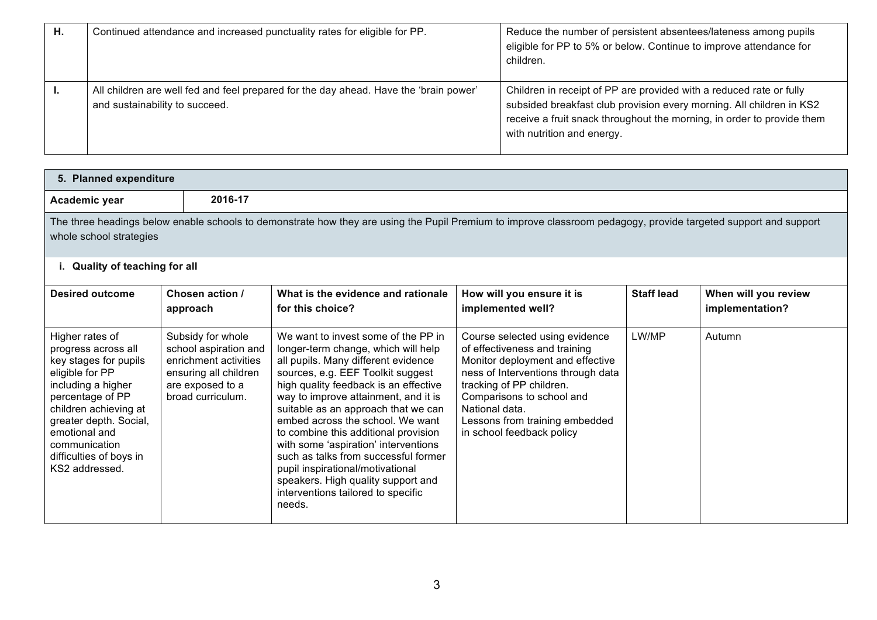| Η. | Continued attendance and increased punctuality rates for eligible for PP.                                               | Reduce the number of persistent absentees/lateness among pupils<br>eligible for PP to 5% or below. Continue to improve attendance for<br>children.                                                                                                  |
|----|-------------------------------------------------------------------------------------------------------------------------|-----------------------------------------------------------------------------------------------------------------------------------------------------------------------------------------------------------------------------------------------------|
|    | All children are well fed and feel prepared for the day ahead. Have the 'brain power'<br>and sustainability to succeed. | Children in receipt of PP are provided with a reduced rate or fully<br>subsided breakfast club provision every morning. All children in KS2<br>receive a fruit snack throughout the morning, in order to provide them<br>with nutrition and energy. |

| 5. Planned expenditure                                                                                                                                                                                                                                         |                                                                                                                                       |                                                                                                                                                                                                                                                                                                                                                                                                                                                                                                                                                                      |                                                                                                                                                                                                                                                                                     |                   |                                         |
|----------------------------------------------------------------------------------------------------------------------------------------------------------------------------------------------------------------------------------------------------------------|---------------------------------------------------------------------------------------------------------------------------------------|----------------------------------------------------------------------------------------------------------------------------------------------------------------------------------------------------------------------------------------------------------------------------------------------------------------------------------------------------------------------------------------------------------------------------------------------------------------------------------------------------------------------------------------------------------------------|-------------------------------------------------------------------------------------------------------------------------------------------------------------------------------------------------------------------------------------------------------------------------------------|-------------------|-----------------------------------------|
| Academic year                                                                                                                                                                                                                                                  | 2016-17                                                                                                                               |                                                                                                                                                                                                                                                                                                                                                                                                                                                                                                                                                                      |                                                                                                                                                                                                                                                                                     |                   |                                         |
| whole school strategies                                                                                                                                                                                                                                        |                                                                                                                                       | The three headings below enable schools to demonstrate how they are using the Pupil Premium to improve classroom pedagogy, provide targeted support and support                                                                                                                                                                                                                                                                                                                                                                                                      |                                                                                                                                                                                                                                                                                     |                   |                                         |
| <b>Quality of teaching for all</b>                                                                                                                                                                                                                             |                                                                                                                                       |                                                                                                                                                                                                                                                                                                                                                                                                                                                                                                                                                                      |                                                                                                                                                                                                                                                                                     |                   |                                         |
| <b>Desired outcome</b>                                                                                                                                                                                                                                         | Chosen action /<br>approach                                                                                                           | What is the evidence and rationale<br>for this choice?                                                                                                                                                                                                                                                                                                                                                                                                                                                                                                               | How will you ensure it is<br>implemented well?                                                                                                                                                                                                                                      | <b>Staff lead</b> | When will you review<br>implementation? |
| Higher rates of<br>progress across all<br>key stages for pupils<br>eligible for PP<br>including a higher<br>percentage of PP<br>children achieving at<br>greater depth. Social,<br>emotional and<br>communication<br>difficulties of boys in<br>KS2 addressed. | Subsidy for whole<br>school aspiration and<br>enrichment activities<br>ensuring all children<br>are exposed to a<br>broad curriculum. | We want to invest some of the PP in<br>longer-term change, which will help<br>all pupils. Many different evidence<br>sources, e.g. EEF Toolkit suggest<br>high quality feedback is an effective<br>way to improve attainment, and it is<br>suitable as an approach that we can<br>embed across the school. We want<br>to combine this additional provision<br>with some 'aspiration' interventions<br>such as talks from successful former<br>pupil inspirational/motivational<br>speakers. High quality support and<br>interventions tailored to specific<br>needs. | Course selected using evidence<br>of effectiveness and training<br>Monitor deployment and effective<br>ness of Interventions through data<br>tracking of PP children.<br>Comparisons to school and<br>National data.<br>Lessons from training embedded<br>in school feedback policy | LW/MP             | Autumn                                  |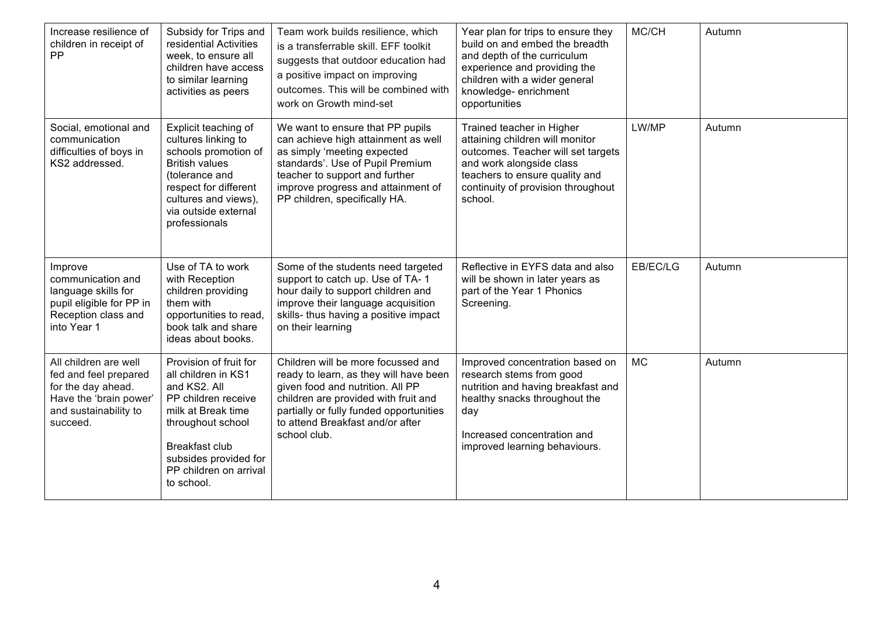| Increase resilience of<br>children in receipt of<br>PP                                                                              | Subsidy for Trips and<br>residential Activities<br>week, to ensure all<br>children have access<br>to similar learning<br>activities as peers                                                                              | Team work builds resilience, which<br>is a transferrable skill. EFF toolkit<br>suggests that outdoor education had<br>a positive impact on improving<br>outcomes. This will be combined with<br>work on Growth mind-set                                 | Year plan for trips to ensure they<br>build on and embed the breadth<br>and depth of the curriculum<br>experience and providing the<br>children with a wider general<br>knowledge-enrichment<br>opportunities     | MC/CH     | Autumn |
|-------------------------------------------------------------------------------------------------------------------------------------|---------------------------------------------------------------------------------------------------------------------------------------------------------------------------------------------------------------------------|---------------------------------------------------------------------------------------------------------------------------------------------------------------------------------------------------------------------------------------------------------|-------------------------------------------------------------------------------------------------------------------------------------------------------------------------------------------------------------------|-----------|--------|
| Social, emotional and<br>communication<br>difficulties of boys in<br>KS2 addressed.                                                 | Explicit teaching of<br>cultures linking to<br>schools promotion of<br><b>British values</b><br>(tolerance and<br>respect for different<br>cultures and views),<br>via outside external<br>professionals                  | We want to ensure that PP pupils<br>can achieve high attainment as well<br>as simply 'meeting expected<br>standards'. Use of Pupil Premium<br>teacher to support and further<br>improve progress and attainment of<br>PP children, specifically HA.     | Trained teacher in Higher<br>attaining children will monitor<br>outcomes. Teacher will set targets<br>and work alongside class<br>teachers to ensure quality and<br>continuity of provision throughout<br>school. | LW/MP     | Autumn |
| Improve<br>communication and<br>language skills for<br>pupil eligible for PP in<br>Reception class and<br>into Year 1               | Use of TA to work<br>with Reception<br>children providing<br>them with<br>opportunities to read,<br>book talk and share<br>ideas about books.                                                                             | Some of the students need targeted<br>support to catch up. Use of TA-1<br>hour daily to support children and<br>improve their language acquisition<br>skills- thus having a positive impact<br>on their learning                                        | Reflective in EYFS data and also<br>will be shown in later years as<br>part of the Year 1 Phonics<br>Screening.                                                                                                   | EB/EC/LG  | Autumn |
| All children are well<br>fed and feel prepared<br>for the day ahead.<br>Have the 'brain power'<br>and sustainability to<br>succeed. | Provision of fruit for<br>all children in KS1<br>and KS2, All<br>PP children receive<br>milk at Break time<br>throughout school<br><b>Breakfast club</b><br>subsides provided for<br>PP children on arrival<br>to school. | Children will be more focussed and<br>ready to learn, as they will have been<br>given food and nutrition. All PP<br>children are provided with fruit and<br>partially or fully funded opportunities<br>to attend Breakfast and/or after<br>school club. | Improved concentration based on<br>research stems from good<br>nutrition and having breakfast and<br>healthy snacks throughout the<br>day<br>Increased concentration and<br>improved learning behaviours.         | <b>MC</b> | Autumn |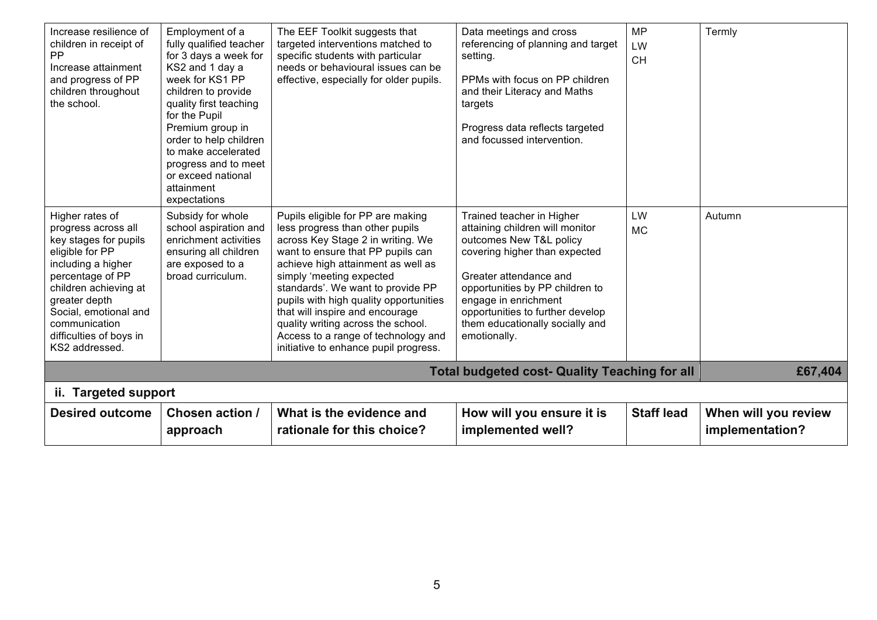| Increase resilience of<br>children in receipt of<br><b>PP</b><br>Increase attainment<br>and progress of PP<br>children throughout<br>the school.                                                                                                              | Employment of a<br>fully qualified teacher<br>for 3 days a week for<br>KS2 and 1 day a<br>week for KS1 PP<br>children to provide<br>quality first teaching<br>for the Pupil<br>Premium group in<br>order to help children<br>to make accelerated<br>progress and to meet<br>or exceed national<br>attainment<br>expectations | The EEF Toolkit suggests that<br>targeted interventions matched to<br>specific students with particular<br>needs or behavioural issues can be<br>effective, especially for older pupils.                                                                                                                                                                                                                                                                 | Data meetings and cross<br>referencing of planning and target<br>setting.<br>PPMs with focus on PP children<br>and their Literacy and Maths<br>targets<br>Progress data reflects targeted<br>and focussed intervention.                                                                              | <b>MP</b><br>LW<br><b>CH</b> | Termly                                  |
|---------------------------------------------------------------------------------------------------------------------------------------------------------------------------------------------------------------------------------------------------------------|------------------------------------------------------------------------------------------------------------------------------------------------------------------------------------------------------------------------------------------------------------------------------------------------------------------------------|----------------------------------------------------------------------------------------------------------------------------------------------------------------------------------------------------------------------------------------------------------------------------------------------------------------------------------------------------------------------------------------------------------------------------------------------------------|------------------------------------------------------------------------------------------------------------------------------------------------------------------------------------------------------------------------------------------------------------------------------------------------------|------------------------------|-----------------------------------------|
| Higher rates of<br>progress across all<br>key stages for pupils<br>eligible for PP<br>including a higher<br>percentage of PP<br>children achieving at<br>greater depth<br>Social, emotional and<br>communication<br>difficulties of boys in<br>KS2 addressed. | Subsidy for whole<br>school aspiration and<br>enrichment activities<br>ensuring all children<br>are exposed to a<br>broad curriculum.                                                                                                                                                                                        | Pupils eligible for PP are making<br>less progress than other pupils<br>across Key Stage 2 in writing. We<br>want to ensure that PP pupils can<br>achieve high attainment as well as<br>simply 'meeting expected<br>standards'. We want to provide PP<br>pupils with high quality opportunities<br>that will inspire and encourage<br>quality writing across the school.<br>Access to a range of technology and<br>initiative to enhance pupil progress. | Trained teacher in Higher<br>attaining children will monitor<br>outcomes New T&L policy<br>covering higher than expected<br>Greater attendance and<br>opportunities by PP children to<br>engage in enrichment<br>opportunities to further develop<br>them educationally socially and<br>emotionally. | LW<br><b>MC</b>              | Autumn                                  |
| <b>Total budgeted cost- Quality Teaching for all</b>                                                                                                                                                                                                          |                                                                                                                                                                                                                                                                                                                              |                                                                                                                                                                                                                                                                                                                                                                                                                                                          |                                                                                                                                                                                                                                                                                                      |                              | £67,404                                 |
| ii. Targeted support                                                                                                                                                                                                                                          |                                                                                                                                                                                                                                                                                                                              |                                                                                                                                                                                                                                                                                                                                                                                                                                                          |                                                                                                                                                                                                                                                                                                      |                              |                                         |
| <b>Desired outcome</b>                                                                                                                                                                                                                                        | <b>Chosen action /</b><br>approach                                                                                                                                                                                                                                                                                           | What is the evidence and<br>rationale for this choice?                                                                                                                                                                                                                                                                                                                                                                                                   | How will you ensure it is<br>implemented well?                                                                                                                                                                                                                                                       | <b>Staff lead</b>            | When will you review<br>implementation? |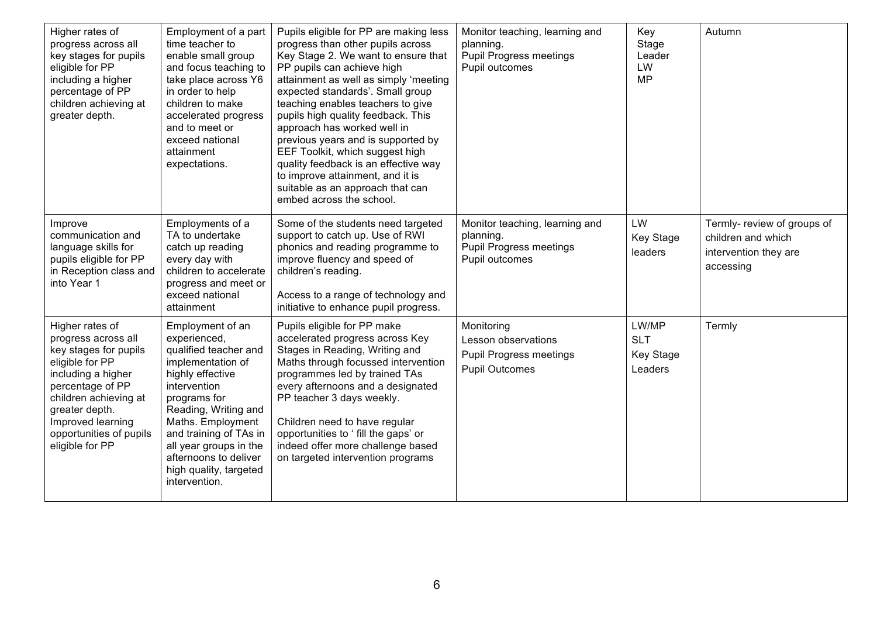| Higher rates of<br>progress across all<br>key stages for pupils<br>eligible for PP<br>including a higher<br>percentage of PP<br>children achieving at<br>greater depth.                                                                    | Employment of a part<br>time teacher to<br>enable small group<br>and focus teaching to<br>take place across Y6<br>in order to help<br>children to make<br>accelerated progress<br>and to meet or<br>exceed national<br>attainment<br>expectations.                                                      | Pupils eligible for PP are making less<br>progress than other pupils across<br>Key Stage 2. We want to ensure that<br>PP pupils can achieve high<br>attainment as well as simply 'meeting<br>expected standards'. Small group<br>teaching enables teachers to give<br>pupils high quality feedback. This<br>approach has worked well in<br>previous years and is supported by<br>EEF Toolkit, which suggest high<br>quality feedback is an effective way<br>to improve attainment, and it is<br>suitable as an approach that can<br>embed across the school. | Monitor teaching, learning and<br>planning.<br><b>Pupil Progress meetings</b><br>Pupil outcomes | Key<br>Stage<br>Leader<br>LW<br><b>MP</b>   | Autumn                                                                                  |
|--------------------------------------------------------------------------------------------------------------------------------------------------------------------------------------------------------------------------------------------|---------------------------------------------------------------------------------------------------------------------------------------------------------------------------------------------------------------------------------------------------------------------------------------------------------|--------------------------------------------------------------------------------------------------------------------------------------------------------------------------------------------------------------------------------------------------------------------------------------------------------------------------------------------------------------------------------------------------------------------------------------------------------------------------------------------------------------------------------------------------------------|-------------------------------------------------------------------------------------------------|---------------------------------------------|-----------------------------------------------------------------------------------------|
| Improve<br>communication and<br>language skills for<br>pupils eligible for PP<br>in Reception class and<br>into Year 1                                                                                                                     | Employments of a<br>TA to undertake<br>catch up reading<br>every day with<br>children to accelerate<br>progress and meet or<br>exceed national<br>attainment                                                                                                                                            | Some of the students need targeted<br>support to catch up. Use of RWI<br>phonics and reading programme to<br>improve fluency and speed of<br>children's reading.<br>Access to a range of technology and<br>initiative to enhance pupil progress.                                                                                                                                                                                                                                                                                                             | Monitor teaching, learning and<br>planning.<br><b>Pupil Progress meetings</b><br>Pupil outcomes | LW<br>Key Stage<br>leaders                  | Termly- review of groups of<br>children and which<br>intervention they are<br>accessing |
| Higher rates of<br>progress across all<br>key stages for pupils<br>eligible for PP<br>including a higher<br>percentage of PP<br>children achieving at<br>greater depth.<br>Improved learning<br>opportunities of pupils<br>eligible for PP | Employment of an<br>experienced,<br>qualified teacher and<br>implementation of<br>highly effective<br>intervention<br>programs for<br>Reading, Writing and<br>Maths. Employment<br>and training of TAs in<br>all year groups in the<br>afternoons to deliver<br>high quality, targeted<br>intervention. | Pupils eligible for PP make<br>accelerated progress across Key<br>Stages in Reading, Writing and<br>Maths through focussed intervention<br>programmes led by trained TAs<br>every afternoons and a designated<br>PP teacher 3 days weekly.<br>Children need to have regular<br>opportunities to ' fill the gaps' or<br>indeed offer more challenge based<br>on targeted intervention programs                                                                                                                                                                | Monitoring<br>Lesson observations<br><b>Pupil Progress meetings</b><br><b>Pupil Outcomes</b>    | LW/MP<br><b>SLT</b><br>Key Stage<br>Leaders | Termly                                                                                  |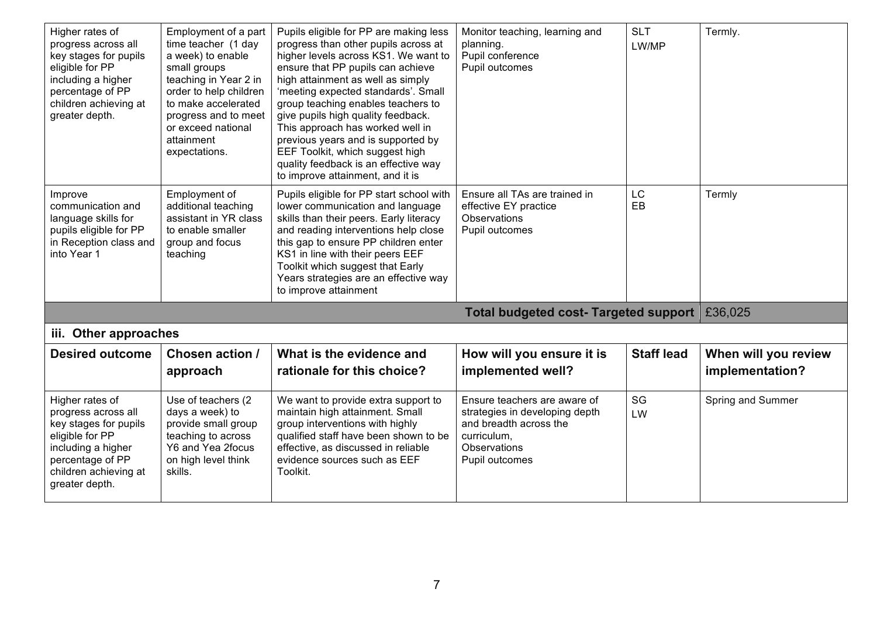| Higher rates of<br>progress across all<br>key stages for pupils<br>eligible for PP<br>including a higher<br>percentage of PP<br>children achieving at<br>greater depth. | Employment of a part<br>time teacher (1 day<br>a week) to enable<br>small groups<br>teaching in Year 2 in<br>order to help children<br>to make accelerated<br>progress and to meet<br>or exceed national<br>attainment<br>expectations. | Pupils eligible for PP are making less<br>progress than other pupils across at<br>higher levels across KS1. We want to<br>ensure that PP pupils can achieve<br>high attainment as well as simply<br>'meeting expected standards'. Small<br>group teaching enables teachers to<br>give pupils high quality feedback.<br>This approach has worked well in<br>previous years and is supported by<br>EEF Toolkit, which suggest high<br>quality feedback is an effective way<br>to improve attainment, and it is | Monitor teaching, learning and<br>planning.<br>Pupil conference<br>Pupil outcomes                                                         | <b>SLT</b><br>LW/MP | Termly.              |
|-------------------------------------------------------------------------------------------------------------------------------------------------------------------------|-----------------------------------------------------------------------------------------------------------------------------------------------------------------------------------------------------------------------------------------|--------------------------------------------------------------------------------------------------------------------------------------------------------------------------------------------------------------------------------------------------------------------------------------------------------------------------------------------------------------------------------------------------------------------------------------------------------------------------------------------------------------|-------------------------------------------------------------------------------------------------------------------------------------------|---------------------|----------------------|
| Improve<br>communication and<br>language skills for<br>pupils eligible for PP<br>in Reception class and<br>into Year 1                                                  | Employment of<br>additional teaching<br>assistant in YR class<br>to enable smaller<br>group and focus<br>teaching                                                                                                                       | Pupils eligible for PP start school with<br>lower communication and language<br>skills than their peers. Early literacy<br>and reading interventions help close<br>this gap to ensure PP children enter<br>KS1 in line with their peers EEF<br>Toolkit which suggest that Early<br>Years strategies are an effective way<br>to improve attainment                                                                                                                                                            | Ensure all TAs are trained in<br>effective EY practice<br>Observations<br>Pupil outcomes                                                  | <b>LC</b><br>EB     | Termly               |
|                                                                                                                                                                         |                                                                                                                                                                                                                                         |                                                                                                                                                                                                                                                                                                                                                                                                                                                                                                              | <b>Total budgeted cost- Targeted support</b>                                                                                              |                     | £36,025              |
| iii. Other approaches                                                                                                                                                   |                                                                                                                                                                                                                                         |                                                                                                                                                                                                                                                                                                                                                                                                                                                                                                              |                                                                                                                                           |                     |                      |
| <b>Desired outcome</b>                                                                                                                                                  | Chosen action /                                                                                                                                                                                                                         | What is the evidence and                                                                                                                                                                                                                                                                                                                                                                                                                                                                                     | How will you ensure it is                                                                                                                 | <b>Staff lead</b>   | When will you review |
|                                                                                                                                                                         | approach                                                                                                                                                                                                                                | rationale for this choice?                                                                                                                                                                                                                                                                                                                                                                                                                                                                                   | implemented well?                                                                                                                         |                     | implementation?      |
| Higher rates of<br>progress across all<br>key stages for pupils<br>eligible for PP<br>including a higher<br>percentage of PP<br>children achieving at<br>greater depth. | Use of teachers (2<br>days a week) to<br>provide small group<br>teaching to across<br>Y6 and Yea 2focus<br>on high level think<br>skills.                                                                                               | We want to provide extra support to<br>maintain high attainment. Small<br>group interventions with highly<br>qualified staff have been shown to be<br>effective, as discussed in reliable<br>evidence sources such as EEF<br>Toolkit.                                                                                                                                                                                                                                                                        | Ensure teachers are aware of<br>strategies in developing depth<br>and breadth across the<br>curriculum,<br>Observations<br>Pupil outcomes | SG<br>LW            | Spring and Summer    |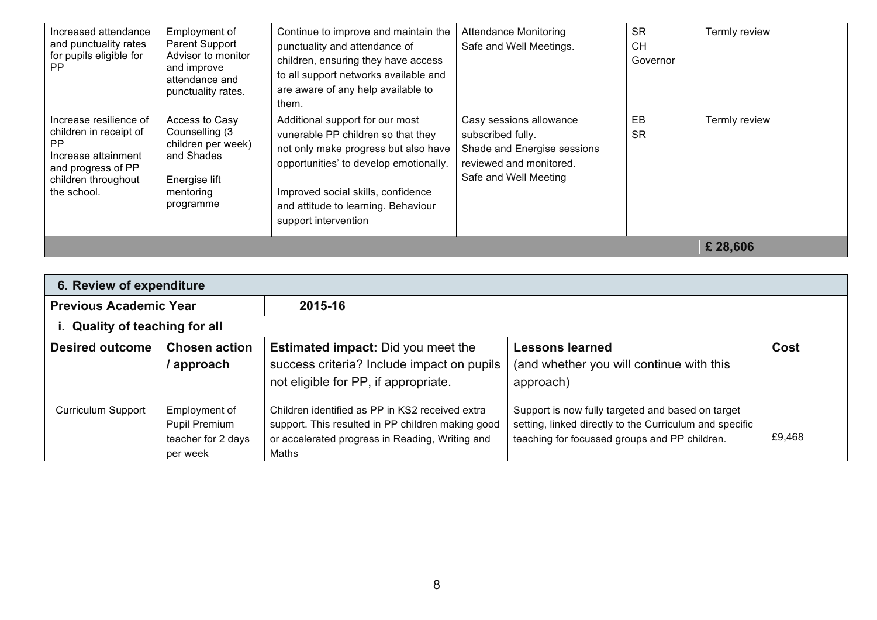| Increased attendance<br>and punctuality rates<br>for pupils eligible for<br>PP.                                                            | Employment of<br>Parent Support<br>Advisor to monitor<br>and improve<br>attendance and<br>punctuality rates.    | Continue to improve and maintain the<br>punctuality and attendance of<br>children, ensuring they have access<br>to all support networks available and<br>are aware of any help available to<br>them.                                                         | <b>Attendance Monitoring</b><br>Safe and Well Meetings.                                                                         | <b>SR</b><br><b>CH</b><br>Governor | Termly review |
|--------------------------------------------------------------------------------------------------------------------------------------------|-----------------------------------------------------------------------------------------------------------------|--------------------------------------------------------------------------------------------------------------------------------------------------------------------------------------------------------------------------------------------------------------|---------------------------------------------------------------------------------------------------------------------------------|------------------------------------|---------------|
| Increase resilience of<br>children in receipt of<br>PP.<br>Increase attainment<br>and progress of PP<br>children throughout<br>the school. | Access to Casy<br>Counselling (3<br>children per week)<br>and Shades<br>Energise lift<br>mentoring<br>programme | Additional support for our most<br>vunerable PP children so that they<br>not only make progress but also have<br>opportunities' to develop emotionally.<br>Improved social skills, confidence<br>and attitude to learning. Behaviour<br>support intervention | Casy sessions allowance<br>subscribed fully.<br>Shade and Energise sessions<br>reviewed and monitored.<br>Safe and Well Meeting | EB<br><b>SR</b>                    | Termly review |
|                                                                                                                                            | £ 28,606                                                                                                        |                                                                                                                                                                                                                                                              |                                                                                                                                 |                                    |               |

| 6. Review of expenditure       |                                    |                                                                                                                                                                                                                                                                                                                                                                                      |                                                                                 |        |  |  |
|--------------------------------|------------------------------------|--------------------------------------------------------------------------------------------------------------------------------------------------------------------------------------------------------------------------------------------------------------------------------------------------------------------------------------------------------------------------------------|---------------------------------------------------------------------------------|--------|--|--|
| <b>Previous Academic Year</b>  |                                    | 2015-16                                                                                                                                                                                                                                                                                                                                                                              |                                                                                 |        |  |  |
| i. Quality of teaching for all |                                    |                                                                                                                                                                                                                                                                                                                                                                                      |                                                                                 |        |  |  |
| <b>Desired outcome</b>         | <b>Chosen action</b><br>/ approach | <b>Estimated impact:</b> Did you meet the<br>success criteria? Include impact on pupils<br>not eligible for PP, if appropriate.                                                                                                                                                                                                                                                      | <b>Lessons learned</b><br>(and whether you will continue with this<br>approach) | Cost   |  |  |
| <b>Curriculum Support</b>      | per week                           | Employment of EmployDrialdiren adpartifiedeate Beher KS2 Lexeived extragh time uppentitis now fully Taisgort to mexicle mexia regestr.<br>Pupil Premium (3 morning port 2 rafts resolute ban were child werking an ease boad<br>teacher for 2 days provide Counselling services in Reading switing and<br>across the school with a view to<br>providing children with the resilience | seen point and specific<br>teaching for focussed groups and PP children.        | £9,468 |  |  |

needed to access learning.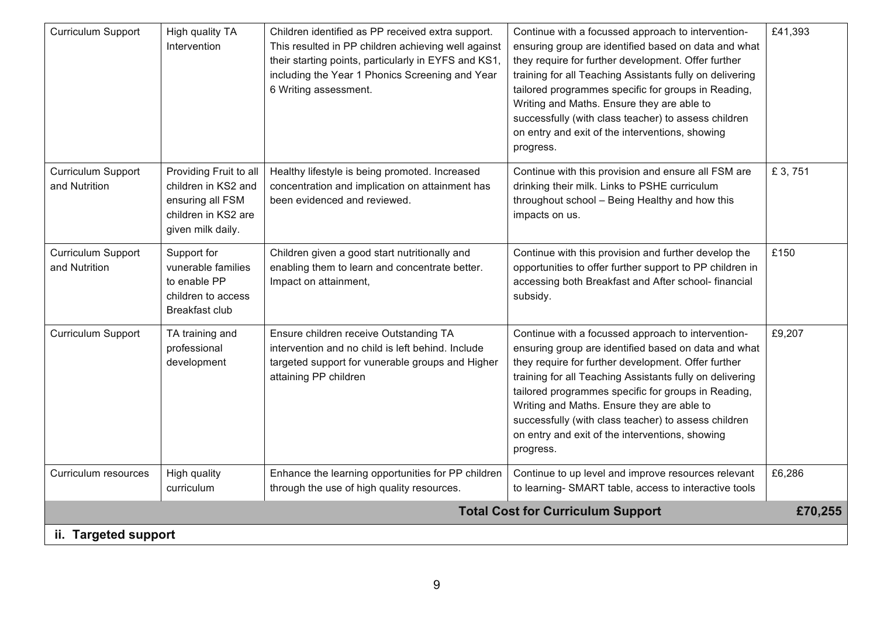| <b>Curriculum Support</b>                  | High quality TA<br>Intervention                                                                               | Children identified as PP received extra support.<br>This resulted in PP children achieving well against<br>their starting points, particularly in EYFS and KS1,<br>including the Year 1 Phonics Screening and Year<br>6 Writing assessment. | Continue with a focussed approach to intervention-<br>ensuring group are identified based on data and what<br>they require for further development. Offer further<br>training for all Teaching Assistants fully on delivering<br>tailored programmes specific for groups in Reading,<br>Writing and Maths. Ensure they are able to<br>successfully (with class teacher) to assess children<br>on entry and exit of the interventions, showing<br>progress. | £41,393 |
|--------------------------------------------|---------------------------------------------------------------------------------------------------------------|----------------------------------------------------------------------------------------------------------------------------------------------------------------------------------------------------------------------------------------------|------------------------------------------------------------------------------------------------------------------------------------------------------------------------------------------------------------------------------------------------------------------------------------------------------------------------------------------------------------------------------------------------------------------------------------------------------------|---------|
| Curriculum Support<br>and Nutrition        | Providing Fruit to all<br>children in KS2 and<br>ensuring all FSM<br>children in KS2 are<br>given milk daily. | Healthy lifestyle is being promoted. Increased<br>concentration and implication on attainment has<br>been evidenced and reviewed.                                                                                                            | Continue with this provision and ensure all FSM are<br>drinking their milk. Links to PSHE curriculum<br>throughout school - Being Healthy and how this<br>impacts on us.                                                                                                                                                                                                                                                                                   | £ 3,751 |
| <b>Curriculum Support</b><br>and Nutrition | Support for<br>vunerable families<br>to enable PP<br>children to access<br>Breakfast club                     | Children given a good start nutritionally and<br>enabling them to learn and concentrate better.<br>Impact on attainment,                                                                                                                     | Continue with this provision and further develop the<br>opportunities to offer further support to PP children in<br>accessing both Breakfast and After school- financial<br>subsidy.                                                                                                                                                                                                                                                                       | £150    |
| <b>Curriculum Support</b>                  | TA training and<br>professional<br>development                                                                | Ensure children receive Outstanding TA<br>intervention and no child is left behind. Include<br>targeted support for vunerable groups and Higher<br>attaining PP children                                                                     | Continue with a focussed approach to intervention-<br>ensuring group are identified based on data and what<br>they require for further development. Offer further<br>training for all Teaching Assistants fully on delivering<br>tailored programmes specific for groups in Reading,<br>Writing and Maths. Ensure they are able to<br>successfully (with class teacher) to assess children<br>on entry and exit of the interventions, showing<br>progress. | £9,207  |
| Curriculum resources                       | High quality<br>curriculum                                                                                    | Enhance the learning opportunities for PP children<br>through the use of high quality resources.                                                                                                                                             | Continue to up level and improve resources relevant<br>to learning- SMART table, access to interactive tools                                                                                                                                                                                                                                                                                                                                               | £6,286  |
|                                            |                                                                                                               |                                                                                                                                                                                                                                              | <b>Total Cost for Curriculum Support</b>                                                                                                                                                                                                                                                                                                                                                                                                                   | £70,255 |
| ii. Targeted support                       |                                                                                                               |                                                                                                                                                                                                                                              |                                                                                                                                                                                                                                                                                                                                                                                                                                                            |         |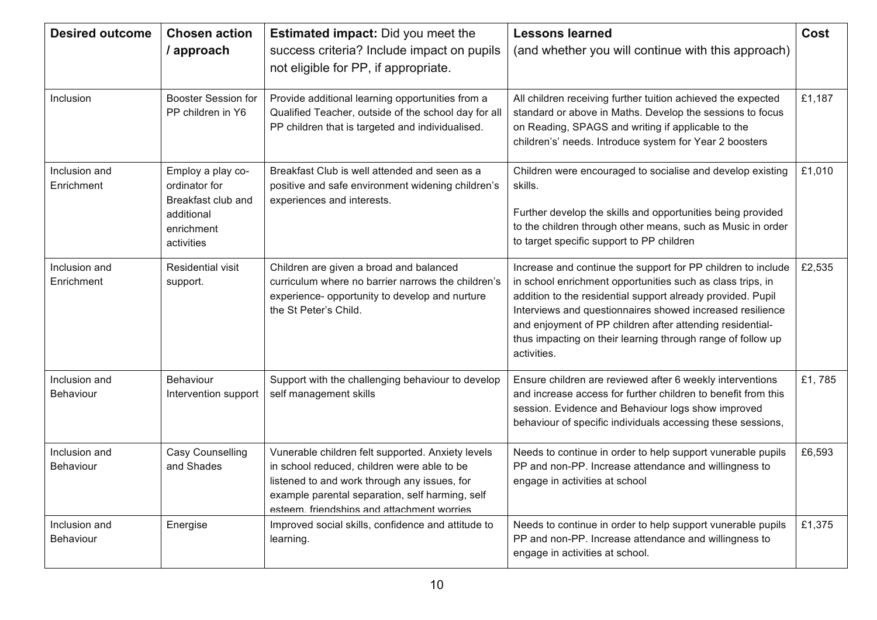| <b>Desired outcome</b>            | <b>Chosen action</b><br>/ approach                                                                 | Estimated impact: Did you meet the<br>success criteria? Include impact on pupils<br>not eligible for PP, if appropriate.                                                                                                                          | <b>Lessons learned</b><br>(and whether you will continue with this approach)                                                                                                                                                                                                                                                                                                                      | Cost   |
|-----------------------------------|----------------------------------------------------------------------------------------------------|---------------------------------------------------------------------------------------------------------------------------------------------------------------------------------------------------------------------------------------------------|---------------------------------------------------------------------------------------------------------------------------------------------------------------------------------------------------------------------------------------------------------------------------------------------------------------------------------------------------------------------------------------------------|--------|
| Inclusion                         | <b>Booster Session for</b><br>PP children in Y6                                                    | Provide additional learning opportunities from a<br>Qualified Teacher, outside of the school day for all<br>PP children that is targeted and individualised.                                                                                      | All children receiving further tuition achieved the expected<br>standard or above in Maths. Develop the sessions to focus<br>on Reading, SPAGS and writing if applicable to the<br>children's' needs. Introduce system for Year 2 boosters                                                                                                                                                        | £1,187 |
| Inclusion and<br>Enrichment       | Employ a play co-<br>ordinator for<br>Breakfast club and<br>additional<br>enrichment<br>activities | Breakfast Club is well attended and seen as a<br>positive and safe environment widening children's<br>experiences and interests.                                                                                                                  | Children were encouraged to socialise and develop existing<br>skills.<br>Further develop the skills and opportunities being provided<br>to the children through other means, such as Music in order<br>to target specific support to PP children                                                                                                                                                  | £1,010 |
| Inclusion and<br>Enrichment       | <b>Residential visit</b><br>support.                                                               | Children are given a broad and balanced<br>curriculum where no barrier narrows the children's<br>experience- opportunity to develop and nurture<br>the St Peter's Child.                                                                          | Increase and continue the support for PP children to include<br>in school enrichment opportunities such as class trips, in<br>addition to the residential support already provided. Pupil<br>Interviews and questionnaires showed increased resilience<br>and enjoyment of PP children after attending residential-<br>thus impacting on their learning through range of follow up<br>activities. | £2,535 |
| Inclusion and<br>Behaviour        | Behaviour<br>Intervention support                                                                  | Support with the challenging behaviour to develop<br>self management skills                                                                                                                                                                       | Ensure children are reviewed after 6 weekly interventions<br>and increase access for further children to benefit from this<br>session. Evidence and Behaviour logs show improved<br>behaviour of specific individuals accessing these sessions,                                                                                                                                                   | £1,785 |
| Inclusion and<br><b>Behaviour</b> | <b>Casy Counselling</b><br>and Shades                                                              | Vunerable children felt supported. Anxiety levels<br>in school reduced, children were able to be<br>listened to and work through any issues, for<br>example parental separation, self harming, self<br>esteem. friendshins and attachment worries | Needs to continue in order to help support vunerable pupils<br>PP and non-PP. Increase attendance and willingness to<br>engage in activities at school                                                                                                                                                                                                                                            | £6,593 |
| Inclusion and<br><b>Behaviour</b> | Energise                                                                                           | Improved social skills, confidence and attitude to<br>learning.                                                                                                                                                                                   | Needs to continue in order to help support vunerable pupils<br>PP and non-PP. Increase attendance and willingness to<br>engage in activities at school.                                                                                                                                                                                                                                           | £1,375 |